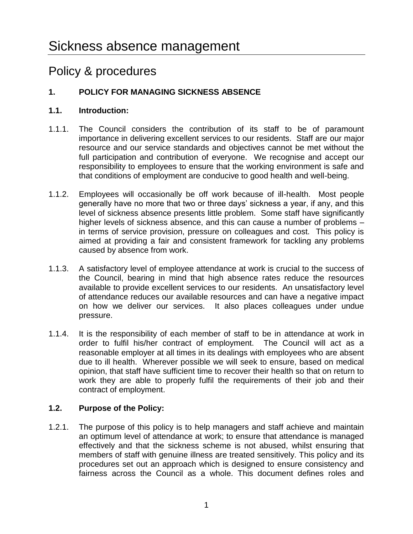## Policy & procedures

## **1. POLICY FOR MANAGING SICKNESS ABSENCE**

## **1.1. Introduction:**

- 1.1.1. The Council considers the contribution of its staff to be of paramount importance in delivering excellent services to our residents. Staff are our major resource and our service standards and objectives cannot be met without the full participation and contribution of everyone. We recognise and accept our responsibility to employees to ensure that the working environment is safe and that conditions of employment are conducive to good health and well-being.
- 1.1.2. Employees will occasionally be off work because of ill-health. Most people generally have no more that two or three days' sickness a year, if any, and this level of sickness absence presents little problem. Some staff have significantly higher levels of sickness absence, and this can cause a number of problems – in terms of service provision, pressure on colleagues and cost. This policy is aimed at providing a fair and consistent framework for tackling any problems caused by absence from work.
- 1.1.3. A satisfactory level of employee attendance at work is crucial to the success of the Council, bearing in mind that high absence rates reduce the resources available to provide excellent services to our residents. An unsatisfactory level of attendance reduces our available resources and can have a negative impact on how we deliver our services. It also places colleagues under undue pressure.
- 1.1.4. It is the responsibility of each member of staff to be in attendance at work in order to fulfil his/her contract of employment. The Council will act as a reasonable employer at all times in its dealings with employees who are absent due to ill health. Wherever possible we will seek to ensure, based on medical opinion, that staff have sufficient time to recover their health so that on return to work they are able to properly fulfil the requirements of their job and their contract of employment.

## **1.2. Purpose of the Policy:**

1.2.1. The purpose of this policy is to help managers and staff achieve and maintain an optimum level of attendance at work; to ensure that attendance is managed effectively and that the sickness scheme is not abused, whilst ensuring that members of staff with genuine illness are treated sensitively. This policy and its procedures set out an approach which is designed to ensure consistency and fairness across the Council as a whole. This document defines roles and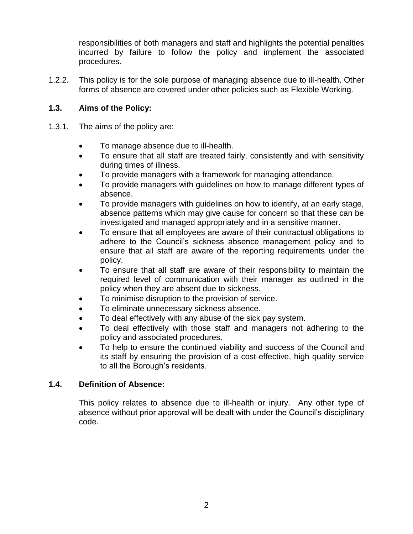responsibilities of both managers and staff and highlights the potential penalties incurred by failure to follow the policy and implement the associated procedures.

1.2.2. This policy is for the sole purpose of managing absence due to ill-health. Other forms of absence are covered under other policies such as Flexible Working.

## **1.3. Aims of the Policy:**

- 1.3.1. The aims of the policy are:
	- To manage absence due to ill-health.
	- To ensure that all staff are treated fairly, consistently and with sensitivity during times of illness.
	- To provide managers with a framework for managing attendance.
	- To provide managers with guidelines on how to manage different types of absence.
	- To provide managers with guidelines on how to identify, at an early stage, absence patterns which may give cause for concern so that these can be investigated and managed appropriately and in a sensitive manner.
	- To ensure that all employees are aware of their contractual obligations to adhere to the Council's sickness absence management policy and to ensure that all staff are aware of the reporting requirements under the policy.
	- To ensure that all staff are aware of their responsibility to maintain the required level of communication with their manager as outlined in the policy when they are absent due to sickness.
	- To minimise disruption to the provision of service.
	- To eliminate unnecessary sickness absence.
	- To deal effectively with any abuse of the sick pay system.
	- To deal effectively with those staff and managers not adhering to the policy and associated procedures.
	- To help to ensure the continued viability and success of the Council and its staff by ensuring the provision of a cost-effective, high quality service to all the Borough's residents.

## **1.4. Definition of Absence:**

This policy relates to absence due to ill-health or injury. Any other type of absence without prior approval will be dealt with under the Council's disciplinary code.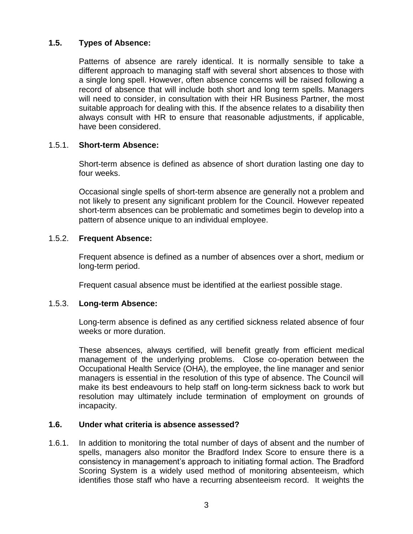## **1.5. Types of Absence:**

Patterns of absence are rarely identical. It is normally sensible to take a different approach to managing staff with several short absences to those with a single long spell. However, often absence concerns will be raised following a record of absence that will include both short and long term spells. Managers will need to consider, in consultation with their HR Business Partner, the most suitable approach for dealing with this. If the absence relates to a disability then always consult with HR to ensure that reasonable adjustments, if applicable, have been considered.

#### 1.5.1. **Short-term Absence:**

Short-term absence is defined as absence of short duration lasting one day to four weeks.

Occasional single spells of short-term absence are generally not a problem and not likely to present any significant problem for the Council. However repeated short-term absences can be problematic and sometimes begin to develop into a pattern of absence unique to an individual employee.

#### 1.5.2. **Frequent Absence:**

Frequent absence is defined as a number of absences over a short, medium or long-term period.

Frequent casual absence must be identified at the earliest possible stage.

#### 1.5.3. **Long-term Absence:**

Long-term absence is defined as any certified sickness related absence of four weeks or more duration.

These absences, always certified, will benefit greatly from efficient medical management of the underlying problems. Close co-operation between the Occupational Health Service (OHA), the employee, the line manager and senior managers is essential in the resolution of this type of absence. The Council will make its best endeavours to help staff on long-term sickness back to work but resolution may ultimately include termination of employment on grounds of incapacity.

#### **1.6. Under what criteria is absence assessed?**

1.6.1. In addition to monitoring the total number of days of absent and the number of spells, managers also monitor the Bradford Index Score to ensure there is a consistency in management's approach to initiating formal action. The Bradford Scoring System is a widely used method of monitoring absenteeism, which identifies those staff who have a recurring absenteeism record. It weights the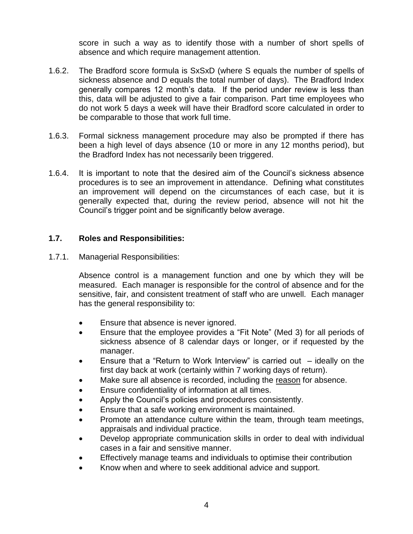score in such a way as to identify those with a number of short spells of absence and which require management attention.

- 1.6.2. The Bradford score formula is SxSxD (where S equals the number of spells of sickness absence and D equals the total number of days). The Bradford Index generally compares 12 month's data. If the period under review is less than this, data will be adjusted to give a fair comparison. Part time employees who do not work 5 days a week will have their Bradford score calculated in order to be comparable to those that work full time.
- 1.6.3. Formal sickness management procedure may also be prompted if there has been a high level of days absence (10 or more in any 12 months period), but the Bradford Index has not necessarily been triggered.
- 1.6.4. It is important to note that the desired aim of the Council's sickness absence procedures is to see an improvement in attendance. Defining what constitutes an improvement will depend on the circumstances of each case, but it is generally expected that, during the review period, absence will not hit the Council's trigger point and be significantly below average.

## **1.7. Roles and Responsibilities:**

1.7.1. Managerial Responsibilities:

Absence control is a management function and one by which they will be measured. Each manager is responsible for the control of absence and for the sensitive, fair, and consistent treatment of staff who are unwell. Each manager has the general responsibility to:

- Ensure that absence is never ignored.
- Ensure that the employee provides a "Fit Note" (Med 3) for all periods of sickness absence of 8 calendar days or longer, or if requested by the manager.
- Ensure that a "Return to Work Interview" is carried out  $-$  ideally on the first day back at work (certainly within 7 working days of return).
- Make sure all absence is recorded, including the reason for absence.
- Ensure confidentiality of information at all times.
- Apply the Council's policies and procedures consistently.
- Ensure that a safe working environment is maintained.
- Promote an attendance culture within the team, through team meetings, appraisals and individual practice.
- Develop appropriate communication skills in order to deal with individual cases in a fair and sensitive manner.
- Effectively manage teams and individuals to optimise their contribution
- Know when and where to seek additional advice and support.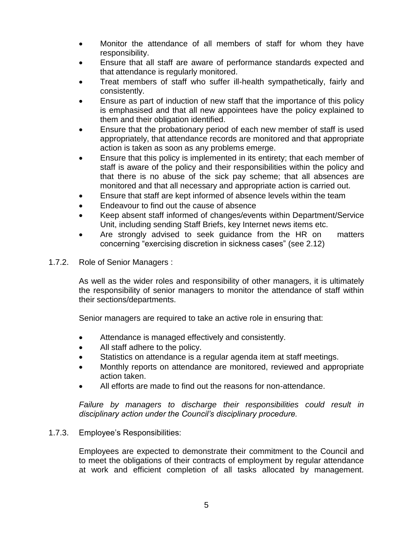- Monitor the attendance of all members of staff for whom they have responsibility.
- Ensure that all staff are aware of performance standards expected and that attendance is regularly monitored.
- Treat members of staff who suffer ill-health sympathetically, fairly and consistently.
- Ensure as part of induction of new staff that the importance of this policy is emphasised and that all new appointees have the policy explained to them and their obligation identified.
- Ensure that the probationary period of each new member of staff is used appropriately, that attendance records are monitored and that appropriate action is taken as soon as any problems emerge.
- Ensure that this policy is implemented in its entirety; that each member of staff is aware of the policy and their responsibilities within the policy and that there is no abuse of the sick pay scheme; that all absences are monitored and that all necessary and appropriate action is carried out.
- Ensure that staff are kept informed of absence levels within the team
- Endeavour to find out the cause of absence
- Keep absent staff informed of changes/events within Department/Service Unit, including sending Staff Briefs, key Internet news items etc.
- Are strongly advised to seek guidance from the HR on matters concerning "exercising discretion in sickness cases" (see 2.12)
- 1.7.2. Role of Senior Managers :

As well as the wider roles and responsibility of other managers, it is ultimately the responsibility of senior managers to monitor the attendance of staff within their sections/departments.

Senior managers are required to take an active role in ensuring that:

- Attendance is managed effectively and consistently.
- All staff adhere to the policy.
- Statistics on attendance is a regular agenda item at staff meetings.
- Monthly reports on attendance are monitored, reviewed and appropriate action taken.
- All efforts are made to find out the reasons for non-attendance.

*Failure by managers to discharge their responsibilities could result in disciplinary action under the Council's disciplinary procedure.*

#### 1.7.3. Employee's Responsibilities:

Employees are expected to demonstrate their commitment to the Council and to meet the obligations of their contracts of employment by regular attendance at work and efficient completion of all tasks allocated by management.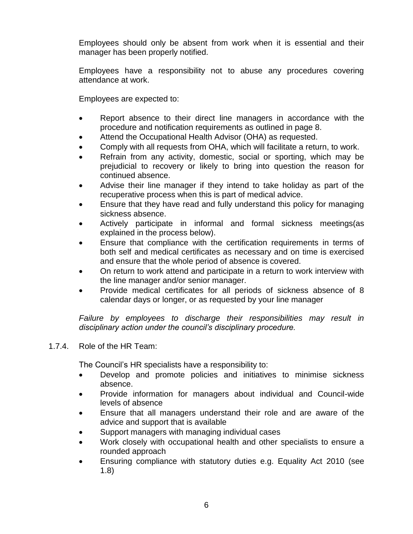Employees should only be absent from work when it is essential and their manager has been properly notified.

Employees have a responsibility not to abuse any procedures covering attendance at work.

Employees are expected to:

- Report absence to their direct line managers in accordance with the procedure and notification requirements as outlined in page 8.
- Attend the Occupational Health Advisor (OHA) as requested.
- Comply with all requests from OHA, which will facilitate a return, to work.
- Refrain from any activity, domestic, social or sporting, which may be prejudicial to recovery or likely to bring into question the reason for continued absence.
- Advise their line manager if they intend to take holiday as part of the recuperative process when this is part of medical advice.
- Ensure that they have read and fully understand this policy for managing sickness absence.
- Actively participate in informal and formal sickness meetings(as explained in the process below).
- Ensure that compliance with the certification requirements in terms of both self and medical certificates as necessary and on time is exercised and ensure that the whole period of absence is covered.
- On return to work attend and participate in a return to work interview with the line manager and/or senior manager.
- Provide medical certificates for all periods of sickness absence of 8 calendar days or longer, or as requested by your line manager

*Failure by employees to discharge their responsibilities may result in disciplinary action under the council's disciplinary procedure.*

#### 1.7.4. Role of the HR Team:

The Council's HR specialists have a responsibility to:

- Develop and promote policies and initiatives to minimise sickness absence.
- Provide information for managers about individual and Council-wide levels of absence
- Ensure that all managers understand their role and are aware of the advice and support that is available
- Support managers with managing individual cases
- Work closely with occupational health and other specialists to ensure a rounded approach
- Ensuring compliance with statutory duties e.g. Equality Act 2010 (see 1.8)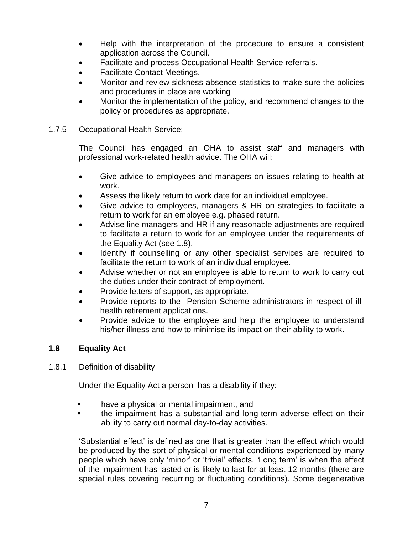- Help with the interpretation of the procedure to ensure a consistent application across the Council.
- Facilitate and process Occupational Health Service referrals.
- Facilitate Contact Meetings.
- Monitor and review sickness absence statistics to make sure the policies and procedures in place are working
- Monitor the implementation of the policy, and recommend changes to the policy or procedures as appropriate.
- 1.7.5 Occupational Health Service:

The Council has engaged an OHA to assist staff and managers with professional work-related health advice. The OHA will:

- Give advice to employees and managers on issues relating to health at work.
- Assess the likely return to work date for an individual employee.
- Give advice to employees, managers & HR on strategies to facilitate a return to work for an employee e.g. phased return.
- Advise line managers and HR if any reasonable adjustments are required to facilitate a return to work for an employee under the requirements of the Equality Act (see 1.8).
- Identify if counselling or any other specialist services are required to facilitate the return to work of an individual employee.
- Advise whether or not an employee is able to return to work to carry out the duties under their contract of employment.
- Provide letters of support, as appropriate.
- Provide reports to the Pension Scheme administrators in respect of illhealth retirement applications.
- Provide advice to the employee and help the employee to understand his/her illness and how to minimise its impact on their ability to work.

## **1.8 Equality Act**

1.8.1 Definition of disability

Under the Equality Act a person has a disability if they:

- have a physical or mental impairment, and
- the impairment has a substantial and long-term adverse effect on their ability to carry out normal day-to-day activities.

'Substantial effect' is defined as one that is greater than the effect which would be produced by the sort of physical or mental conditions experienced by many people which have only 'minor' or 'trivial' effects. *'*Long term' is when the effect of the impairment has lasted or is likely to last for at least 12 months (there are special rules covering recurring or fluctuating conditions). Some degenerative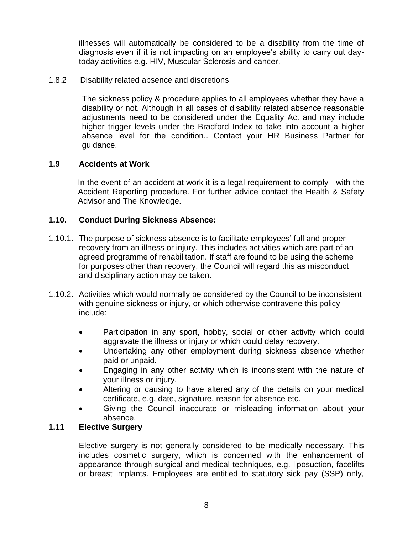illnesses will automatically be considered to be a disability from the time of diagnosis even if it is not impacting on an employee's ability to carry out daytoday activities e.g. HIV, Muscular Sclerosis and cancer.

1.8.2 Disability related absence and discretions

The sickness policy & procedure applies to all employees whether they have a disability or not. Although in all cases of disability related absence reasonable adjustments need to be considered under the Equality Act and may include higher trigger levels under the Bradford Index to take into account a higher absence level for the condition.. Contact your HR Business Partner for guidance.

#### **1.9 Accidents at Work**

In the event of an accident at work it is a legal requirement to comply with the Accident Reporting procedure. For further advice contact the Health & Safety Advisor and The Knowledge.

#### **1.10. Conduct During Sickness Absence:**

- 1.10.1. The purpose of sickness absence is to facilitate employees' full and proper recovery from an illness or injury. This includes activities which are part of an agreed programme of rehabilitation. If staff are found to be using the scheme for purposes other than recovery, the Council will regard this as misconduct and disciplinary action may be taken.
- 1.10.2. Activities which would normally be considered by the Council to be inconsistent with genuine sickness or injury, or which otherwise contravene this policy include:
	- Participation in any sport, hobby, social or other activity which could aggravate the illness or injury or which could delay recovery.
	- Undertaking any other employment during sickness absence whether paid or unpaid.
	- Engaging in any other activity which is inconsistent with the nature of your illness or injury.
	- Altering or causing to have altered any of the details on your medical certificate, e.g. date, signature, reason for absence etc.
	- Giving the Council inaccurate or misleading information about your absence.

## **1.11 Elective Surgery**

Elective surgery is not generally considered to be medically necessary. This includes cosmetic surgery, which is concerned with the enhancement of appearance through surgical and medical techniques, e.g. liposuction, facelifts or breast implants. Employees are entitled to statutory sick pay (SSP) only,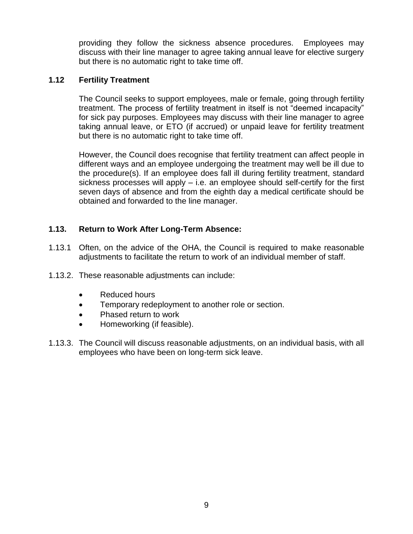providing they follow the sickness absence procedures. Employees may discuss with their line manager to agree taking annual leave for elective surgery but there is no automatic right to take time off.

## **1.12 Fertility Treatment**

The Council seeks to support employees, male or female, going through fertility treatment. The process of fertility treatment in itself is not "deemed incapacity" for sick pay purposes. Employees may discuss with their line manager to agree taking annual leave, or ETO (if accrued) or unpaid leave for fertility treatment but there is no automatic right to take time off.

However, the Council does recognise that fertility treatment can affect people in different ways and an employee undergoing the treatment may well be ill due to the procedure(s). If an employee does fall ill during fertility treatment, standard sickness processes will apply – i.e. an employee should self-certify for the first seven days of absence and from the eighth day a medical certificate should be obtained and forwarded to the line manager.

## **1.13. Return to Work After Long-Term Absence:**

- 1.13.1 Often, on the advice of the OHA, the Council is required to make reasonable adjustments to facilitate the return to work of an individual member of staff.
- 1.13.2. These reasonable adjustments can include:
	- Reduced hours
	- **•** Temporary redeployment to another role or section.
	- Phased return to work
	- Homeworking (if feasible).
- 1.13.3. The Council will discuss reasonable adjustments, on an individual basis, with all employees who have been on long-term sick leave.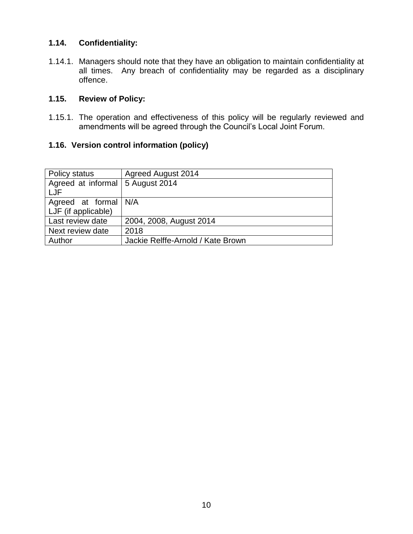## **1.14. Confidentiality:**

1.14.1. Managers should note that they have an obligation to maintain confidentiality at all times. Any breach of confidentiality may be regarded as a disciplinary offence.

## **1.15. Review of Policy:**

1.15.1. The operation and effectiveness of this policy will be regularly reviewed and amendments will be agreed through the Council's Local Joint Forum.

## **1.16. Version control information (policy)**

| Policy status        | <b>Agreed August 2014</b>         |
|----------------------|-----------------------------------|
| Agreed at informal   | 5 August 2014                     |
| LJF                  |                                   |
| Agreed at formal N/A |                                   |
| LJF (if applicable)  |                                   |
| Last review date     | 2004, 2008, August 2014           |
| Next review date     | 2018                              |
| Author               | Jackie Relffe-Arnold / Kate Brown |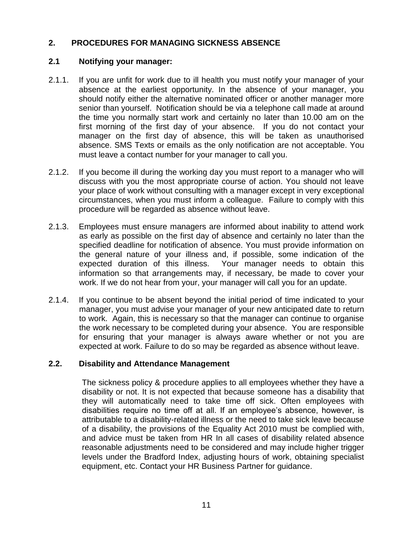## **2. PROCEDURES FOR MANAGING SICKNESS ABSENCE**

### **2.1 Notifying your manager:**

- 2.1.1. If you are unfit for work due to ill health you must notify your manager of your absence at the earliest opportunity. In the absence of your manager, you should notify either the alternative nominated officer or another manager more senior than yourself. Notification should be via a telephone call made at around the time you normally start work and certainly no later than 10.00 am on the first morning of the first day of your absence. If you do not contact your manager on the first day of absence, this will be taken as unauthorised absence. SMS Texts or emails as the only notification are not acceptable. You must leave a contact number for your manager to call you.
- 2.1.2. If you become ill during the working day you must report to a manager who will discuss with you the most appropriate course of action. You should not leave your place of work without consulting with a manager except in very exceptional circumstances, when you must inform a colleague. Failure to comply with this procedure will be regarded as absence without leave.
- 2.1.3. Employees must ensure managers are informed about inability to attend work as early as possible on the first day of absence and certainly no later than the specified deadline for notification of absence. You must provide information on the general nature of your illness and, if possible, some indication of the expected duration of this illness. Your manager needs to obtain this information so that arrangements may, if necessary, be made to cover your work. If we do not hear from your, your manager will call you for an update.
- 2.1.4. If you continue to be absent beyond the initial period of time indicated to your manager, you must advise your manager of your new anticipated date to return to work. Again, this is necessary so that the manager can continue to organise the work necessary to be completed during your absence. You are responsible for ensuring that your manager is always aware whether or not you are expected at work. Failure to do so may be regarded as absence without leave.

#### **2.2. Disability and Attendance Management**

The sickness policy & procedure applies to all employees whether they have a disability or not. It is not expected that because someone has a disability that they will automatically need to take time off sick. Often employees with disabilities require no time off at all. If an employee's absence, however, is attributable to a disability-related illness or the need to take sick leave because of a disability, the provisions of the Equality Act 2010 must be complied with, and advice must be taken from HR In all cases of disability related absence reasonable adjustments need to be considered and may include higher trigger levels under the Bradford Index, adjusting hours of work, obtaining specialist equipment, etc. Contact your HR Business Partner for guidance.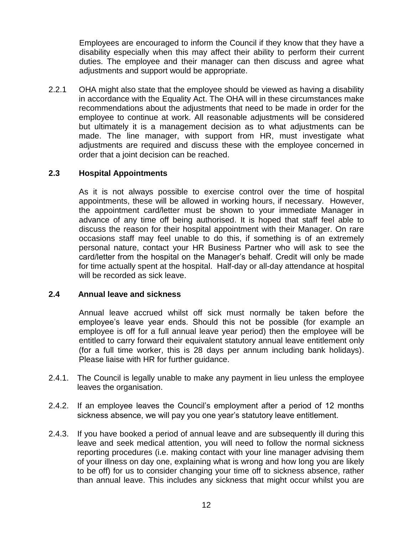Employees are encouraged to inform the Council if they know that they have a disability especially when this may affect their ability to perform their current duties. The employee and their manager can then discuss and agree what adjustments and support would be appropriate.

2.2.1 OHA might also state that the employee should be viewed as having a disability in accordance with the Equality Act. The OHA will in these circumstances make recommendations about the adjustments that need to be made in order for the employee to continue at work. All reasonable adjustments will be considered but ultimately it is a management decision as to what adjustments can be made. The line manager, with support from HR, must investigate what adjustments are required and discuss these with the employee concerned in order that a joint decision can be reached.

#### **2.3 Hospital Appointments**

As it is not always possible to exercise control over the time of hospital appointments, these will be allowed in working hours, if necessary. However, the appointment card/letter must be shown to your immediate Manager in advance of any time off being authorised. It is hoped that staff feel able to discuss the reason for their hospital appointment with their Manager. On rare occasions staff may feel unable to do this, if something is of an extremely personal nature, contact your HR Business Partner who will ask to see the card/letter from the hospital on the Manager's behalf. Credit will only be made for time actually spent at the hospital. Half-day or all-day attendance at hospital will be recorded as sick leave.

#### **2.4 Annual leave and sickness**

Annual leave accrued whilst off sick must normally be taken before the employee's leave year ends. Should this not be possible (for example an employee is off for a full annual leave year period) then the employee will be entitled to carry forward their equivalent statutory annual leave entitlement only (for a full time worker, this is 28 days per annum including bank holidays). Please liaise with HR for further guidance.

- 2.4.1. The Council is legally unable to make any payment in lieu unless the employee leaves the organisation.
- 2.4.2. If an employee leaves the Council's employment after a period of 12 months sickness absence, we will pay you one year's statutory leave entitlement.
- 2.4.3. If you have booked a period of annual leave and are subsequently ill during this leave and seek medical attention, you will need to follow the normal sickness reporting procedures (i.e. making contact with your line manager advising them of your illness on day one, explaining what is wrong and how long you are likely to be off) for us to consider changing your time off to sickness absence, rather than annual leave. This includes any sickness that might occur whilst you are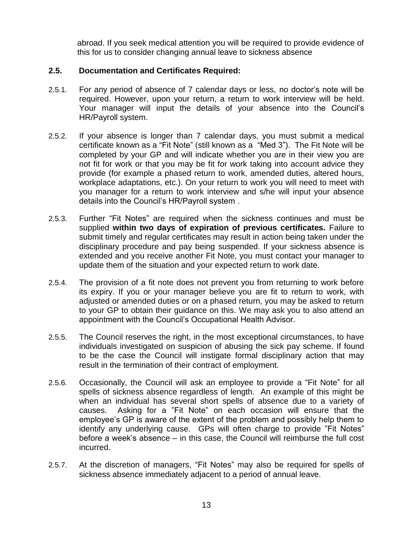abroad. If you seek medical attention you will be required to provide evidence of this for us to consider changing annual leave to sickness absence

### **2.5. Documentation and Certificates Required:**

- 2.5.1. For any period of absence of 7 calendar days or less, no doctor's note will be required. However, upon your return, a return to work interview will be held. Your manager will input the details of your absence into the Council's HR/Payroll system.
- 2.5.2. If your absence is longer than 7 calendar days, you must submit a medical certificate known as a "Fit Note" (still known as a "Med 3"). The Fit Note will be completed by your GP and will indicate whether you are in their view you are not fit for work or that you may be fit for work taking into account advice they provide (for example a phased return to work, amended duties, altered hours, workplace adaptations, etc.). On your return to work you will need to meet with you manager for a return to work interview and s/he will input your absence details into the Council's HR/Payroll system .
- 2.5.3. Further "Fit Notes" are required when the sickness continues and must be supplied **within two days of expiration of previous certificates.** Failure to submit timely and regular certificates may result in action being taken under the disciplinary procedure and pay being suspended. If your sickness absence is extended and you receive another Fit Note, you must contact your manager to update them of the situation and your expected return to work date.
- 2.5.4. The provision of a fit note does not prevent you from returning to work before its expiry. If you or your manager believe you are fit to return to work, with adjusted or amended duties or on a phased return, you may be asked to return to your GP to obtain their guidance on this. We may ask you to also attend an appointment with the Council's Occupational Health Advisor.
- 2.5.5. The Council reserves the right, in the most exceptional circumstances, to have individuals investigated on suspicion of abusing the sick pay scheme. If found to be the case the Council will instigate formal disciplinary action that may result in the termination of their contract of employment.
- 2.5.6. Occasionally, the Council will ask an employee to provide a "Fit Note" for all spells of sickness absence regardless of length. An example of this might be when an individual has several short spells of absence due to a variety of causes. Asking for a "Fit Note" on each occasion will ensure that the employee's GP is aware of the extent of the problem and possibly help them to identify any underlying cause. GPs will often charge to provide "Fit Notes" before a week's absence – in this case, the Council will reimburse the full cost incurred.
- 2.5.7. At the discretion of managers, "Fit Notes" may also be required for spells of sickness absence immediately adjacent to a period of annual leave.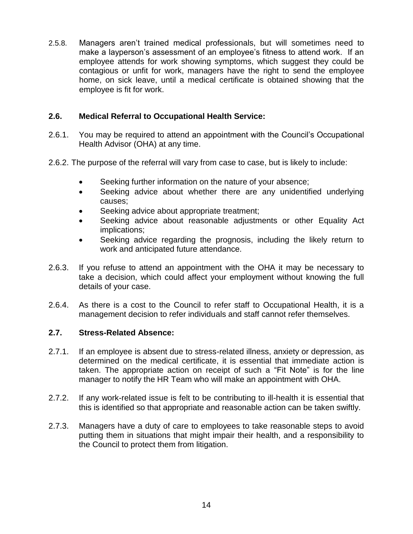2.5.8. Managers aren't trained medical professionals, but will sometimes need to make a layperson's assessment of an employee's fitness to attend work. If an employee attends for work showing symptoms, which suggest they could be contagious or unfit for work, managers have the right to send the employee home, on sick leave, until a medical certificate is obtained showing that the employee is fit for work.

## **2.6. Medical Referral to Occupational Health Service:**

- 2.6.1. You may be required to attend an appointment with the Council's Occupational Health Advisor (OHA) at any time.
- 2.6.2. The purpose of the referral will vary from case to case, but is likely to include:
	- Seeking further information on the nature of your absence;
	- Seeking advice about whether there are any unidentified underlying causes;
	- Seeking advice about appropriate treatment;
	- Seeking advice about reasonable adjustments or other Equality Act implications;
	- Seeking advice regarding the prognosis, including the likely return to work and anticipated future attendance.
- 2.6.3. If you refuse to attend an appointment with the OHA it may be necessary to take a decision, which could affect your employment without knowing the full details of your case.
- 2.6.4. As there is a cost to the Council to refer staff to Occupational Health, it is a management decision to refer individuals and staff cannot refer themselves.

#### **2.7. Stress-Related Absence:**

- 2.7.1. If an employee is absent due to stress-related illness, anxiety or depression, as determined on the medical certificate, it is essential that immediate action is taken. The appropriate action on receipt of such a "Fit Note" is for the line manager to notify the HR Team who will make an appointment with OHA.
- 2.7.2. If any work-related issue is felt to be contributing to ill-health it is essential that this is identified so that appropriate and reasonable action can be taken swiftly.
- 2.7.3. Managers have a duty of care to employees to take reasonable steps to avoid putting them in situations that might impair their health, and a responsibility to the Council to protect them from litigation.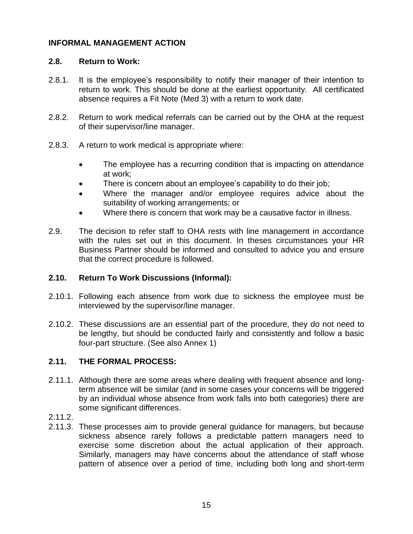### **INFORMAL MANAGEMENT ACTION**

### **2.8. Return to Work:**

- 2.8.1. It is the employee's responsibility to notify their manager of their intention to return to work. This should be done at the earliest opportunity. All certificated absence requires a Fit Note (Med 3) with a return to work date.
- 2.8.2. Return to work medical referrals can be carried out by the OHA at the request of their supervisor/line manager.
- 2.8.3. A return to work medical is appropriate where:
	- The employee has a recurring condition that is impacting on attendance at work;
	- There is concern about an employee's capability to do their job;
	- Where the manager and/or employee requires advice about the suitability of working arrangements; or
	- Where there is concern that work may be a causative factor in illness.
- 2.9. The decision to refer staff to OHA rests with line management in accordance with the rules set out in this document. In theses circumstances your HR Business Partner should be informed and consulted to advice you and ensure that the correct procedure is followed.

## **2.10. Return To Work Discussions (Informal):**

- 2.10.1. Following each absence from work due to sickness the employee must be interviewed by the supervisor/line manager.
- 2.10.2. These discussions are an essential part of the procedure, they do not need to be lengthy, but should be conducted fairly and consistently and follow a basic four-part structure. (See also Annex 1)

## **2.11. THE FORMAL PROCESS:**

- 2.11.1. Although there are some areas where dealing with frequent absence and longterm absence will be similar (and in some cases your concerns will be triggered by an individual whose absence from work falls into both categories) there are some significant differences.
- 2.11.2.
- 2.11.3. These processes aim to provide general guidance for managers, but because sickness absence rarely follows a predictable pattern managers need to exercise some discretion about the actual application of their approach. Similarly, managers may have concerns about the attendance of staff whose pattern of absence over a period of time, including both long and short-term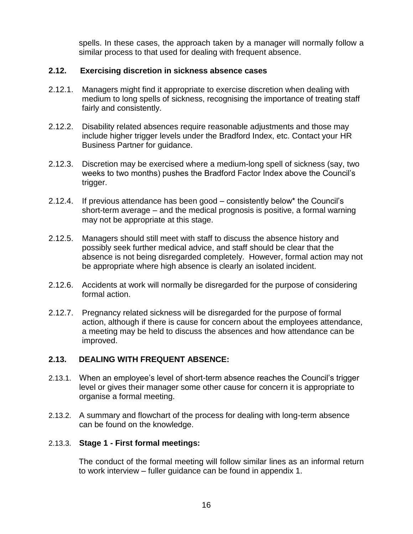spells. In these cases, the approach taken by a manager will normally follow a similar process to that used for dealing with frequent absence.

### **2.12. Exercising discretion in sickness absence cases**

- 2.12.1. Managers might find it appropriate to exercise discretion when dealing with medium to long spells of sickness, recognising the importance of treating staff fairly and consistently.
- 2.12.2. Disability related absences require reasonable adjustments and those may include higher trigger levels under the Bradford Index, etc. Contact your HR Business Partner for guidance.
- 2.12.3. Discretion may be exercised where a medium-long spell of sickness (say, two weeks to two months) pushes the Bradford Factor Index above the Council's trigger.
- 2.12.4. If previous attendance has been good consistently below\* the Council's short-term average – and the medical prognosis is positive, a formal warning may not be appropriate at this stage.
- 2.12.5. Managers should still meet with staff to discuss the absence history and possibly seek further medical advice, and staff should be clear that the absence is not being disregarded completely. However, formal action may not be appropriate where high absence is clearly an isolated incident.
- 2.12.6. Accidents at work will normally be disregarded for the purpose of considering formal action.
- 2.12.7. Pregnancy related sickness will be disregarded for the purpose of formal action, although if there is cause for concern about the employees attendance, a meeting may be held to discuss the absences and how attendance can be improved.

## **2.13. DEALING WITH FREQUENT ABSENCE:**

- 2.13.1. When an employee's level of short-term absence reaches the Council's trigger level or gives their manager some other cause for concern it is appropriate to organise a formal meeting.
- 2.13.2. A summary and flowchart of the process for dealing with long-term absence can be found on the knowledge.

#### 2.13.3. **Stage 1 - First formal meetings:**

The conduct of the formal meeting will follow similar lines as an informal return to work interview – fuller guidance can be found in appendix 1.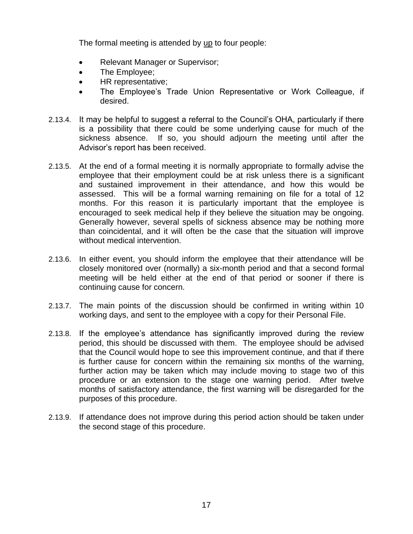The formal meeting is attended by up to four people:

- Relevant Manager or Supervisor;
- The Employee;
- HR representative;
- The Employee's Trade Union Representative or Work Colleague, if desired.
- 2.13.4. It may be helpful to suggest a referral to the Council's OHA, particularly if there is a possibility that there could be some underlying cause for much of the sickness absence. If so, you should adjourn the meeting until after the Advisor's report has been received.
- 2.13.5. At the end of a formal meeting it is normally appropriate to formally advise the employee that their employment could be at risk unless there is a significant and sustained improvement in their attendance, and how this would be assessed. This will be a formal warning remaining on file for a total of 12 months. For this reason it is particularly important that the employee is encouraged to seek medical help if they believe the situation may be ongoing. Generally however, several spells of sickness absence may be nothing more than coincidental, and it will often be the case that the situation will improve without medical intervention.
- 2.13.6. In either event, you should inform the employee that their attendance will be closely monitored over (normally) a six-month period and that a second formal meeting will be held either at the end of that period or sooner if there is continuing cause for concern.
- 2.13.7. The main points of the discussion should be confirmed in writing within 10 working days, and sent to the employee with a copy for their Personal File.
- 2.13.8. If the employee's attendance has significantly improved during the review period, this should be discussed with them. The employee should be advised that the Council would hope to see this improvement continue, and that if there is further cause for concern within the remaining six months of the warning, further action may be taken which may include moving to stage two of this procedure or an extension to the stage one warning period. After twelve months of satisfactory attendance, the first warning will be disregarded for the purposes of this procedure.
- 2.13.9. If attendance does not improve during this period action should be taken under the second stage of this procedure.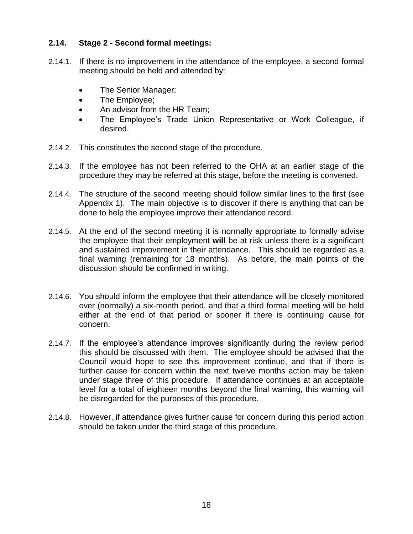## **2.14. Stage 2 - Second formal meetings:**

- 2.14.1. If there is no improvement in the attendance of the employee, a second formal meeting should be held and attended by:
	- The Senior Manager;
	- The Employee;
	- An advisor from the HR Team;
	- The Employee's Trade Union Representative or Work Colleague, if desired.
- 2.14.2. This constitutes the second stage of the procedure.
- 2.14.3. If the employee has not been referred to the OHA at an earlier stage of the procedure they may be referred at this stage, before the meeting is convened.
- 2.14.4. The structure of the second meeting should follow similar lines to the first (see Appendix 1). The main objective is to discover if there is anything that can be done to help the employee improve their attendance record.
- 2.14.5. At the end of the second meeting it is normally appropriate to formally advise the employee that their employment **will** be at risk unless there is a significant and sustained improvement in their attendance. This should be regarded as a final warning (remaining for 18 months). As before, the main points of the discussion should be confirmed in writing.
- 2.14.6. You should inform the employee that their attendance will be closely monitored over (normally) a six-month period, and that a third formal meeting will be held either at the end of that period or sooner if there is continuing cause for concern.
- 2.14.7. If the employee's attendance improves significantly during the review period this should be discussed with them. The employee should be advised that the Council would hope to see this improvement continue, and that if there is further cause for concern within the next twelve months action may be taken under stage three of this procedure. If attendance continues at an acceptable level for a total of eighteen months beyond the final warning, this warning will be disregarded for the purposes of this procedure.
- 2.14.8. However, if attendance gives further cause for concern during this period action should be taken under the third stage of this procedure.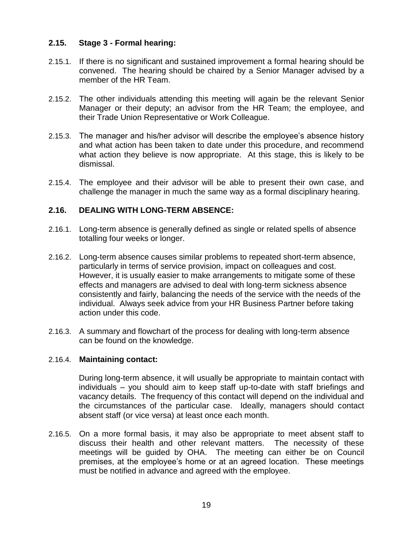## **2.15. Stage 3 - Formal hearing:**

- 2.15.1. If there is no significant and sustained improvement a formal hearing should be convened. The hearing should be chaired by a Senior Manager advised by a member of the HR Team.
- 2.15.2. The other individuals attending this meeting will again be the relevant Senior Manager or their deputy; an advisor from the HR Team; the employee, and their Trade Union Representative or Work Colleague.
- 2.15.3. The manager and his/her advisor will describe the employee's absence history and what action has been taken to date under this procedure, and recommend what action they believe is now appropriate. At this stage, this is likely to be dismissal.
- 2.15.4. The employee and their advisor will be able to present their own case, and challenge the manager in much the same way as a formal disciplinary hearing.

## **2.16. DEALING WITH LONG-TERM ABSENCE:**

- 2.16.1. Long-term absence is generally defined as single or related spells of absence totalling four weeks or longer.
- 2.16.2. Long-term absence causes similar problems to repeated short-term absence, particularly in terms of service provision, impact on colleagues and cost. However, it is usually easier to make arrangements to mitigate some of these effects and managers are advised to deal with long-term sickness absence consistently and fairly, balancing the needs of the service with the needs of the individual. Always seek advice from your HR Business Partner before taking action under this code.
- 2.16.3. A summary and flowchart of the process for dealing with long-term absence can be found on the knowledge.

#### 2.16.4. **Maintaining contact:**

During long-term absence, it will usually be appropriate to maintain contact with individuals – you should aim to keep staff up-to-date with staff briefings and vacancy details. The frequency of this contact will depend on the individual and the circumstances of the particular case. Ideally, managers should contact absent staff (or vice versa) at least once each month.

2.16.5. On a more formal basis, it may also be appropriate to meet absent staff to discuss their health and other relevant matters. The necessity of these meetings will be guided by OHA. The meeting can either be on Council premises, at the employee's home or at an agreed location. These meetings must be notified in advance and agreed with the employee.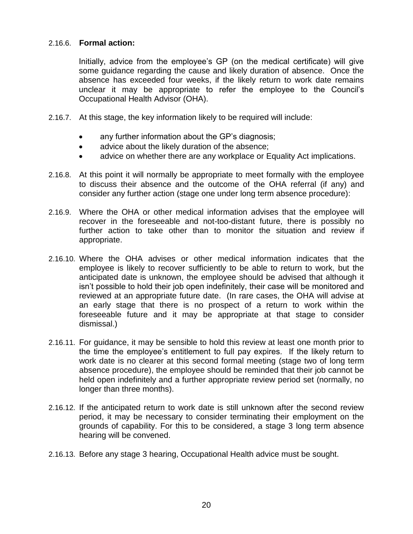#### 2.16.6. **Formal action:**

Initially, advice from the employee's GP (on the medical certificate) will give some guidance regarding the cause and likely duration of absence. Once the absence has exceeded four weeks, if the likely return to work date remains unclear it may be appropriate to refer the employee to the Council's Occupational Health Advisor (OHA).

- 2.16.7. At this stage, the key information likely to be required will include:
	- any further information about the GP's diagnosis;
	- advice about the likely duration of the absence;
	- advice on whether there are any workplace or Equality Act implications.
- 2.16.8. At this point it will normally be appropriate to meet formally with the employee to discuss their absence and the outcome of the OHA referral (if any) and consider any further action (stage one under long term absence procedure):
- 2.16.9. Where the OHA or other medical information advises that the employee will recover in the foreseeable and not-too-distant future, there is possibly no further action to take other than to monitor the situation and review if appropriate.
- 2.16.10. Where the OHA advises or other medical information indicates that the employee is likely to recover sufficiently to be able to return to work, but the anticipated date is unknown, the employee should be advised that although it isn't possible to hold their job open indefinitely, their case will be monitored and reviewed at an appropriate future date. (In rare cases, the OHA will advise at an early stage that there is no prospect of a return to work within the foreseeable future and it may be appropriate at that stage to consider dismissal.)
- 2.16.11. For guidance, it may be sensible to hold this review at least one month prior to the time the employee's entitlement to full pay expires. If the likely return to work date is no clearer at this second formal meeting (stage two of long term absence procedure), the employee should be reminded that their job cannot be held open indefinitely and a further appropriate review period set (normally, no longer than three months).
- 2.16.12. If the anticipated return to work date is still unknown after the second review period, it may be necessary to consider terminating their employment on the grounds of capability. For this to be considered, a stage 3 long term absence hearing will be convened.
- 2.16.13. Before any stage 3 hearing, Occupational Health advice must be sought.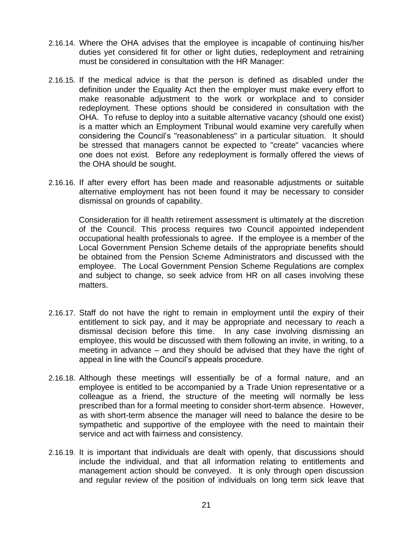- 2.16.14. Where the OHA advises that the employee is incapable of continuing his/her duties yet considered fit for other or light duties, redeployment and retraining must be considered in consultation with the HR Manager:
- 2.16.15. If the medical advice is that the person is defined as disabled under the definition under the Equality Act then the employer must make every effort to make reasonable adjustment to the work or workplace and to consider redeployment. These options should be considered in consultation with the OHA. To refuse to deploy into a suitable alternative vacancy (should one exist) is a matter which an Employment Tribunal would examine very carefully when considering the Council's "reasonableness" in a particular situation. It should be stressed that managers cannot be expected to "create" vacancies where one does not exist. Before any redeployment is formally offered the views of the OHA should be sought.
- 2.16.16. If after every effort has been made and reasonable adjustments or suitable alternative employment has not been found it may be necessary to consider dismissal on grounds of capability.

Consideration for ill health retirement assessment is ultimately at the discretion of the Council. This process requires two Council appointed independent occupational health professionals to agree. If the employee is a memb*e*r of the Local Government Pension Scheme details of the appropriate benefits should be obtained from the Pension Scheme Administrators and discussed with the employee. The Local Government Pension Scheme Regulations are complex and subject to change, so seek advice from HR on all cases involving these matters.

- 2.16.17. Staff do not have the right to remain in employment until the expiry of their entitlement to sick pay, and it may be appropriate and necessary to *r*each a dismissal decision before this time. In any case involving dismissing an employee, this would be discussed with them following an invite, in writing, to a meeting in advance – and they should be advised that they have the right of appeal in line with the Council's appeals procedure.
- 2.16.18. Although these meetings will essentially be of a formal nature, and an employee is entitled to be accompanied by a Trade Union representative or a colleague as a friend, the structure of the meeting will normally be less prescribed than for a formal meeting to consider short-term absence. However, as with short-term absence the manager will need to balance the desire to be sympathetic and supportive of the employee with the need to maintain their service and act with fairness and consistency.
- 2.16.19. It is important that individuals are dealt with openly, that discussions should include the individual, and that all information relating to entitlements and management action should be conveyed. It is only through open discussion and regular review of the position of individuals on long term sick leave that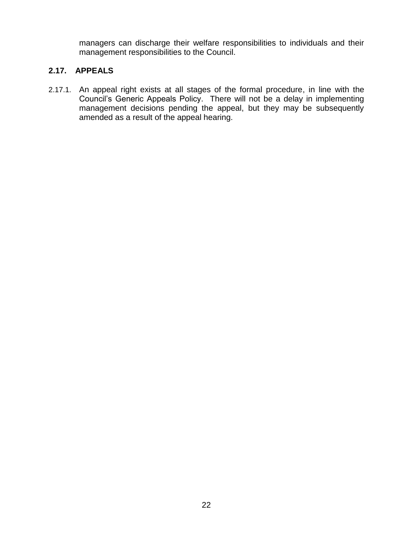managers can discharge their welfare responsibilities to individuals and their management responsibilities to the Council.

## **2.17. APPEALS**

2.17.1. An appeal right exists at all stages of the formal procedure, in line with the Council's Generic Appeals Policy. There will not be a delay in implementing management decisions pending the appeal, but they may be subsequently amended as a result of the appeal hearing.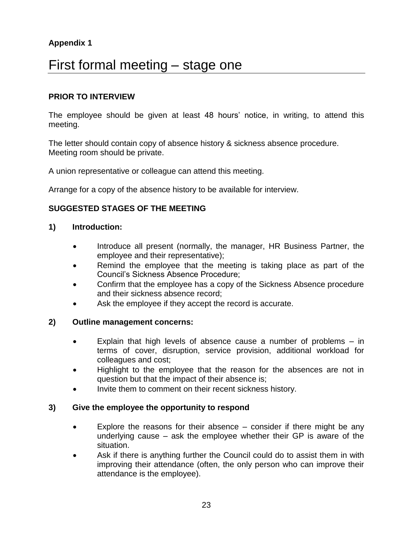## **Appendix 1**

## First formal meeting – stage one

## **PRIOR TO INTERVIEW**

The employee should be given at least 48 hours' notice, in writing, to attend this meeting.

The letter should contain copy of absence history & sickness absence procedure. Meeting room should be private.

A union representative or colleague can attend this meeting.

Arrange for a copy of the absence history to be available for interview.

## **SUGGESTED STAGES OF THE MEETING**

#### **1) Introduction:**

- Introduce all present (normally, the manager, HR Business Partner, the employee and their representative);
- Remind the employee that the meeting is taking place as part of the Council's Sickness Absence Procedure;
- Confirm that the employee has a copy of the Sickness Absence procedure and their sickness absence record;
- Ask the employee if they accept the record is accurate.

#### **2) Outline management concerns:**

- Explain that high levels of absence cause a number of problems in terms of cover, disruption, service provision, additional workload for colleagues and cost;
- Highlight to the employee that the reason for the absences are not in question but that the impact of their absence is;
- Invite them to comment on their recent sickness history.

#### **3) Give the employee the opportunity to respond**

- Explore the reasons for their absence consider if there might be any underlying cause – ask the employee whether their GP is aware of the situation.
- Ask if there is anything further the Council could do to assist them in with improving their attendance (often, the only person who can improve their attendance is the employee).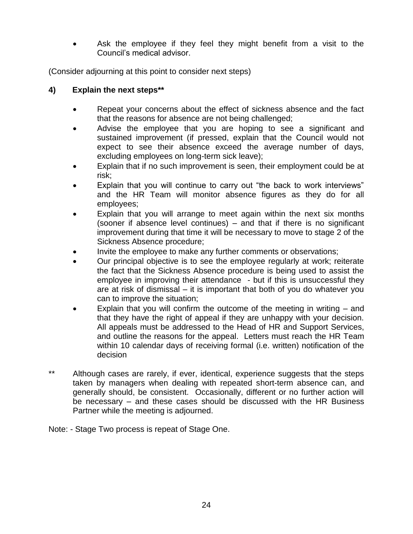Ask the employee if they feel they might benefit from a visit to the Council's medical advisor.

(Consider adjourning at this point to consider next steps)

## **4) Explain the next steps\*\***

- Repeat your concerns about the effect of sickness absence and the fact that the reasons for absence are not being challenged;
- Advise the employee that you are hoping to see a significant and sustained improvement (if pressed, explain that the Council would not expect to see their absence exceed the average number of days, excluding employees on long-term sick leave);
- Explain that if no such improvement is seen, their employment could be at risk;
- Explain that you will continue to carry out "the back to work interviews" and the HR Team will monitor absence figures as they do for all employees;
- Explain that you will arrange to meet again within the next six months (sooner if absence level continues) – and that if there is no significant improvement during that time it will be necessary to move to stage 2 of the Sickness Absence procedure;
- Invite the employee to make any further comments or observations;
- Our principal objective is to see the employee regularly at work; reiterate the fact that the Sickness Absence procedure is being used to assist the employee in improving their attendance - but if this is unsuccessful they are at risk of dismissal – it is important that both of you do whatever you can to improve the situation;
- Explain that you will confirm the outcome of the meeting in writing and that they have the right of appeal if they are unhappy with your decision. All appeals must be addressed to the Head of HR and Support Services, and outline the reasons for the appeal. Letters must reach the HR Team within 10 calendar days of receiving formal (i.e. written) notification of the decision
- \*\* Although cases are rarely, if ever, identical, experience suggests that the steps taken by managers when dealing with repeated short-term absence can, and generally should, be consistent. Occasionally, different or no further action will be necessary – and these cases should be discussed with the HR Business Partner while the meeting is adjourned.
- Note: Stage Two process is repeat of Stage One.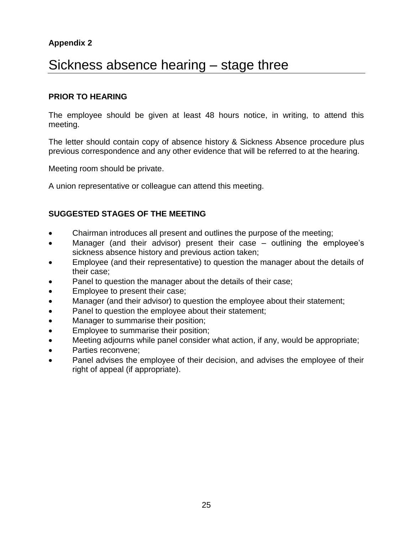## **Appendix 2**

## Sickness absence hearing – stage three

#### **PRIOR TO HEARING**

The employee should be given at least 48 hours notice, in writing, to attend this meeting.

The letter should contain copy of absence history & Sickness Absence procedure plus previous correspondence and any other evidence that will be referred to at the hearing.

Meeting room should be private.

A union representative or colleague can attend this meeting.

## **SUGGESTED STAGES OF THE MEETING**

- Chairman introduces all present and outlines the purpose of the meeting;
- Manager (and their advisor) present their case outlining the employee's sickness absence history and previous action taken;
- Employee (and their representative) to question the manager about the details of their case;
- Panel to question the manager about the details of their case;
- Employee to present their case;
- Manager (and their advisor) to question the employee about their statement;
- Panel to question the employee about their statement;
- Manager to summarise their position;
- **Employee to summarise their position;**
- Meeting adjourns while panel consider what action, if any, would be appropriate;
- Parties reconvene:
- Panel advises the employee of their decision, and advises the employee of their right of appeal (if appropriate).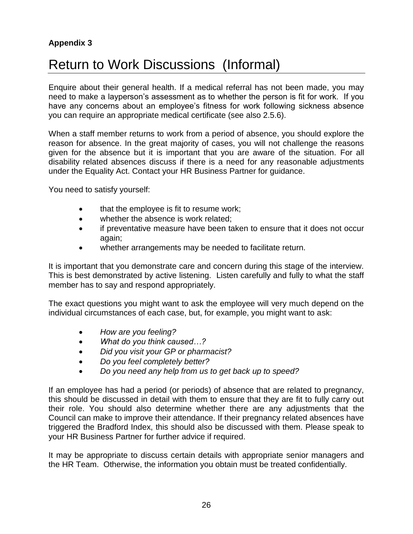## **Appendix 3**

# Return to Work Discussions (Informal)

Enquire about their general health. If a medical referral has not been made, you may need to make a layperson's assessment as to whether the person is fit for work. If you have any concerns about an employee's fitness for work following sickness absence you can require an appropriate medical certificate (see also 2.5.6).

When a staff member returns to work from a period of absence, you should explore the reason for absence. In the great majority of cases, you will not challenge the reasons given for the absence but it is important that you are aware of the situation. For all disability related absences discuss if there is a need for any reasonable adjustments under the Equality Act. Contact your HR Business Partner for guidance.

You need to satisfy yourself:

- that the employee is fit to resume work;
- whether the absence is work related;
- if preventative measure have been taken to ensure that it does not occur again;
- whether arrangements may be needed to facilitate return.

It is important that you demonstrate care and concern during this stage of the interview. This is best demonstrated by active listening. Listen carefully and fully to what the staff member has to say and respond appropriately.

The exact questions you might want to ask the employee will very much depend on the individual circumstances of each case, but, for example, you might want to ask:

- *How are you feeling?*
- *What do you think caused…?*
- *Did you visit your GP or pharmacist?*
- *Do you feel completely better?*
- *Do you need any help from us to get back up to speed?*

If an employee has had a period (or periods) of absence that are related to pregnancy, this should be discussed in detail with them to ensure that they are fit to fully carry out their role. You should also determine whether there are any adjustments that the Council can make to improve their attendance. If their pregnancy related absences have triggered the Bradford Index, this should also be discussed with them. Please speak to your HR Business Partner for further advice if required.

It may be appropriate to discuss certain details with appropriate senior managers and the HR Team. Otherwise, the information you obtain must be treated confidentially.